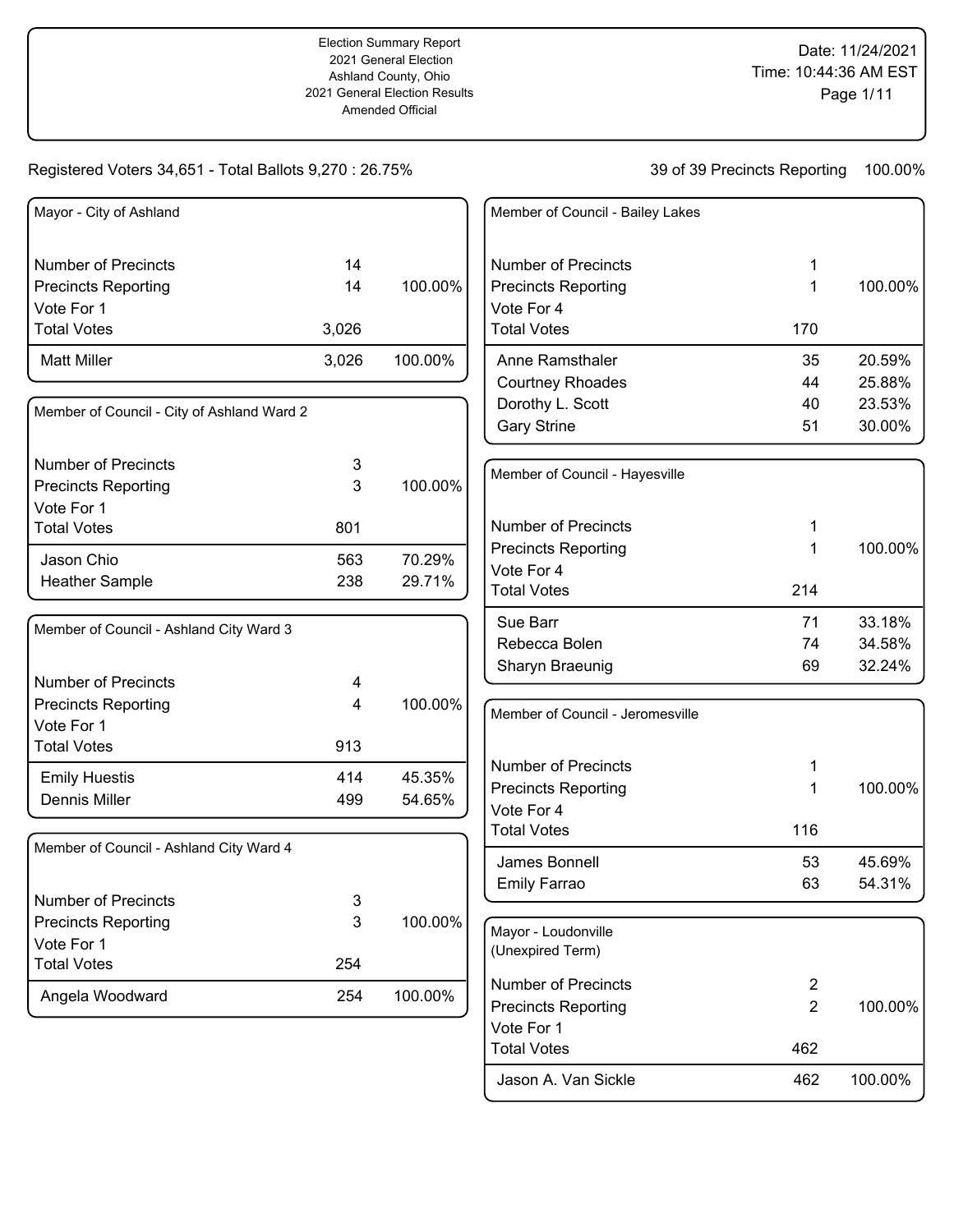| Mayor - City of Ashland                    |       |         | Member of Council - Bailey Lakes |                |         |
|--------------------------------------------|-------|---------|----------------------------------|----------------|---------|
| <b>Number of Precincts</b>                 | 14    |         | <b>Number of Precincts</b>       | 1              |         |
| <b>Precincts Reporting</b>                 | 14    | 100.00% | <b>Precincts Reporting</b>       | 1              | 100.00% |
| Vote For 1                                 |       |         | Vote For 4                       |                |         |
| <b>Total Votes</b>                         | 3,026 |         | <b>Total Votes</b>               | 170            |         |
| <b>Matt Miller</b>                         | 3,026 | 100.00% | Anne Ramsthaler                  | 35             | 20.59%  |
|                                            |       |         | <b>Courtney Rhoades</b>          | 44             | 25.88%  |
| Member of Council - City of Ashland Ward 2 |       |         | Dorothy L. Scott                 | 40             | 23.53%  |
|                                            |       |         | <b>Gary Strine</b>               | 51             | 30.00%  |
| <b>Number of Precincts</b>                 | 3     |         |                                  |                |         |
| <b>Precincts Reporting</b>                 | 3     | 100.00% | Member of Council - Hayesville   |                |         |
| Vote For 1                                 |       |         |                                  |                |         |
| <b>Total Votes</b>                         | 801   |         | <b>Number of Precincts</b>       | 1              |         |
| Jason Chio                                 | 563   | 70.29%  | <b>Precincts Reporting</b>       | 1              | 100.00% |
| <b>Heather Sample</b>                      | 238   | 29.71%  | Vote For 4                       |                |         |
|                                            |       |         | <b>Total Votes</b>               | 214            |         |
| Member of Council - Ashland City Ward 3    |       |         | Sue Barr                         | 71             | 33.18%  |
|                                            |       |         | Rebecca Bolen                    | 74             | 34.58%  |
|                                            |       |         | Sharyn Braeunig                  | 69             | 32.24%  |
| <b>Number of Precincts</b>                 | 4     |         |                                  |                |         |
| <b>Precincts Reporting</b><br>Vote For 1   | 4     | 100.00% | Member of Council - Jeromesville |                |         |
| <b>Total Votes</b>                         | 913   |         |                                  |                |         |
|                                            |       |         | <b>Number of Precincts</b>       | 1              |         |
| <b>Emily Huestis</b>                       | 414   | 45.35%  | <b>Precincts Reporting</b>       | 1              | 100.00% |
| Dennis Miller                              | 499   | 54.65%  | Vote For 4                       |                |         |
|                                            |       |         | <b>Total Votes</b>               | 116            |         |
| Member of Council - Ashland City Ward 4    |       |         | James Bonnell                    | 53             | 45.69%  |
|                                            |       |         | Emily Farrao                     | 63             | 54.31%  |
| <b>Number of Precincts</b>                 | 3     |         |                                  |                |         |
| <b>Precincts Reporting</b>                 | 3     | 100.00% | Mayor - Loudonville              |                |         |
| Vote For 1                                 |       |         | (Unexpired Term)                 |                |         |
| <b>Total Votes</b>                         | 254   |         |                                  |                |         |
| Angela Woodward                            | 254   | 100.00% | <b>Number of Precincts</b>       | $\overline{2}$ |         |
|                                            |       |         | <b>Precincts Reporting</b>       | $\overline{2}$ | 100.00% |
|                                            |       |         | Vote For 1                       |                |         |
|                                            |       |         | <b>Total Votes</b>               | 462            |         |
|                                            |       |         | Jason A. Van Sickle              | 462            | 100.00% |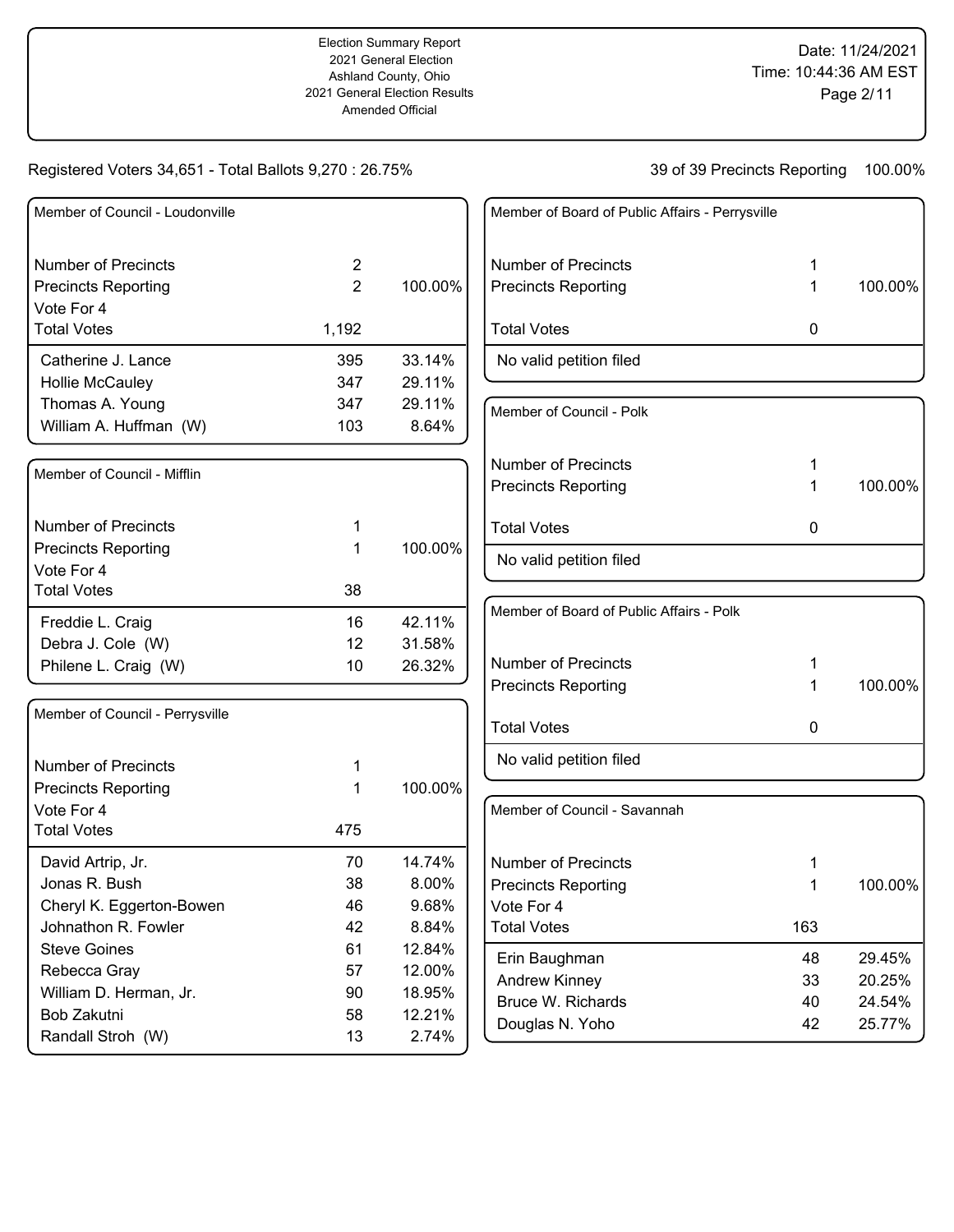| Member of Council - Loudonville |                |          |
|---------------------------------|----------------|----------|
| Number of Precincts             | 2              |          |
| <b>Precincts Reporting</b>      | $\overline{2}$ | 100.00%  |
| Vote For 4                      |                |          |
| <b>Total Votes</b>              | 1,192          |          |
| Catherine J. Lance              | 395            | 33.14%   |
| <b>Hollie McCauley</b>          | 347            | 29.11%   |
| Thomas A. Young                 | 347            | 29.11%   |
| William A. Huffman (W)          | 103            | 8.64%    |
| Member of Council - Mifflin     |                |          |
| <b>Number of Precincts</b>      | 1              |          |
| <b>Precincts Reporting</b>      | 1              | 100.00%  |
| Vote For 4                      |                |          |
| <b>Total Votes</b>              | 38             |          |
| Freddie L. Craig                | 16             | 42.11%   |
| Debra J. Cole (W)               | 12             | 31.58%   |
| Philene L. Craig (W)            | 10             | 26.32%   |
| Member of Council - Perrysville |                |          |
| Number of Precincts             | 1              |          |
| <b>Precincts Reporting</b>      | 1              | 100.00%  |
| Vote For 4                      |                |          |
| <b>Total Votes</b>              | 475            |          |
| David Artrip, Jr.               | 70             | 14.74%   |
| Jonas R. Bush                   | 38             | $8.00\%$ |
| Cheryl K. Eggerton-Bowen        | 46             | 9.68%    |
| Johnathon R. Fowler             | 42             | 8.84%    |
| <b>Steve Goines</b>             | 61             | 12.84%   |
| Rebecca Gray                    | 57             | 12.00%   |
| William D. Herman, Jr.          | 90             | 18.95%   |
| Bob Zakutni                     | 58             | 12.21%   |
| Randall Stroh (W)               | 13             | 2.74%    |

| Member of Board of Public Affairs - Perrysville |   |         |
|-------------------------------------------------|---|---------|
| Number of Precincts                             | 1 |         |
| <b>Precincts Reporting</b>                      | 1 | 100.00% |
| <b>Total Votes</b>                              | 0 |         |
| No valid petition filed                         |   |         |
| Member of Council - Polk                        |   |         |
| Number of Precincts                             | 1 |         |
| <b>Precincts Reporting</b>                      | 1 | 100.00% |
| <b>Total Votes</b>                              | 0 |         |
| No valid petition filed                         |   |         |
| Member of Board of Public Affairs - Polk        |   |         |
| Number of Precincts                             | 1 |         |

| <b>Number of Precincts</b> |    |         |
|----------------------------|----|---------|
| <b>Precincts Reporting</b> | 1. | 100.00% |
| <b>Total Votes</b>         |    |         |
| No valid petition filed    |    |         |

| Member of Council - Savannah |     |         |
|------------------------------|-----|---------|
| Number of Precincts          | 1   |         |
| <b>Precincts Reporting</b>   | 1   | 100.00% |
| Vote For 4                   |     |         |
| <b>Total Votes</b>           | 163 |         |
| Erin Baughman                | 48  | 29.45%  |
| Andrew Kinney                | 33  | 20.25%  |
| Bruce W. Richards            | 40  | 24.54%  |
| Douglas N. Yoho              | 42  | 25.77%  |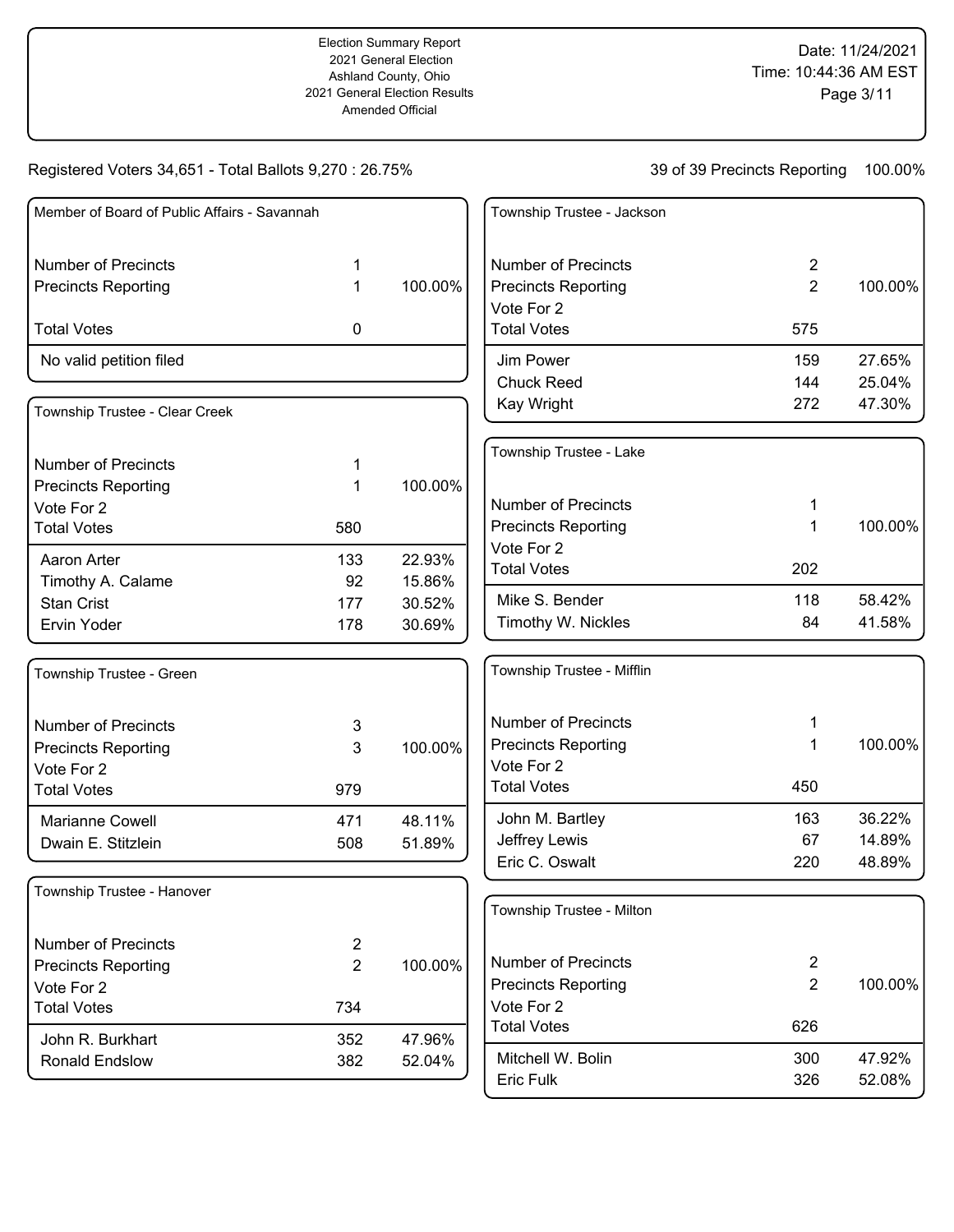| Member of Board of Public Affairs - Savannah |                |         | Township Trustee - Jackson |                |         |
|----------------------------------------------|----------------|---------|----------------------------|----------------|---------|
|                                              |                |         |                            |                |         |
| <b>Number of Precincts</b>                   | 1              |         | <b>Number of Precincts</b> | $\overline{2}$ |         |
| <b>Precincts Reporting</b>                   | 1              | 100.00% | <b>Precincts Reporting</b> | $\overline{2}$ | 100.00% |
|                                              |                |         | Vote For 2                 |                |         |
| <b>Total Votes</b>                           | 0              |         | <b>Total Votes</b>         | 575            |         |
| No valid petition filed                      |                |         | Jim Power                  | 159            | 27.65%  |
|                                              |                |         | <b>Chuck Reed</b>          | 144            | 25.04%  |
| Township Trustee - Clear Creek               |                |         | Kay Wright                 | 272            | 47.30%  |
|                                              |                |         | Township Trustee - Lake    |                |         |
| <b>Number of Precincts</b>                   | 1              |         |                            |                |         |
| <b>Precincts Reporting</b>                   | 1              | 100.00% |                            |                |         |
| Vote For 2                                   |                |         | <b>Number of Precincts</b> | 1              |         |
| <b>Total Votes</b>                           | 580            |         | <b>Precincts Reporting</b> | 1              | 100.00% |
|                                              |                |         | Vote For 2                 |                |         |
| Aaron Arter                                  | 133            | 22.93%  | <b>Total Votes</b>         | 202            |         |
| Timothy A. Calame                            | 92             | 15.86%  | Mike S. Bender             |                | 58.42%  |
| <b>Stan Crist</b>                            | 177            | 30.52%  |                            | 118<br>84      |         |
| Ervin Yoder                                  | 178            | 30.69%  | Timothy W. Nickles         |                | 41.58%  |
| Township Trustee - Green                     |                |         | Township Trustee - Mifflin |                |         |
| <b>Number of Precincts</b>                   |                |         | <b>Number of Precincts</b> | 1              |         |
|                                              | 3<br>3         | 100.00% | <b>Precincts Reporting</b> | 1              | 100.00% |
| <b>Precincts Reporting</b>                   |                |         | Vote For 2                 |                |         |
| Vote For 2                                   |                |         | <b>Total Votes</b>         | 450            |         |
| <b>Total Votes</b>                           | 979            |         |                            |                |         |
| Marianne Cowell                              | 471            | 48.11%  | John M. Bartley            | 163            | 36.22%  |
| Dwain E. Stitzlein                           | 508            | 51.89%  | Jeffrey Lewis              | 67             | 14.89%  |
|                                              |                |         | Eric C. Oswalt             | 220            | 48.89%  |
| Township Trustee - Hanover                   |                |         |                            |                |         |
|                                              |                |         | Township Trustee - Milton  |                |         |
| <b>Number of Precincts</b>                   | $\overline{c}$ |         |                            |                |         |
| <b>Precincts Reporting</b>                   | $\overline{2}$ | 100.00% | <b>Number of Precincts</b> | $\overline{2}$ |         |
| Vote For 2                                   |                |         | <b>Precincts Reporting</b> | $\overline{2}$ | 100.00% |
| <b>Total Votes</b>                           | 734            |         | Vote For 2                 |                |         |
| John R. Burkhart                             | 352            | 47.96%  | <b>Total Votes</b>         | 626            |         |
| Ronald Endslow                               | 382            | 52.04%  | Mitchell W. Bolin          | 300            | 47.92%  |
|                                              |                |         | Eric Fulk                  | 326            | 52.08%  |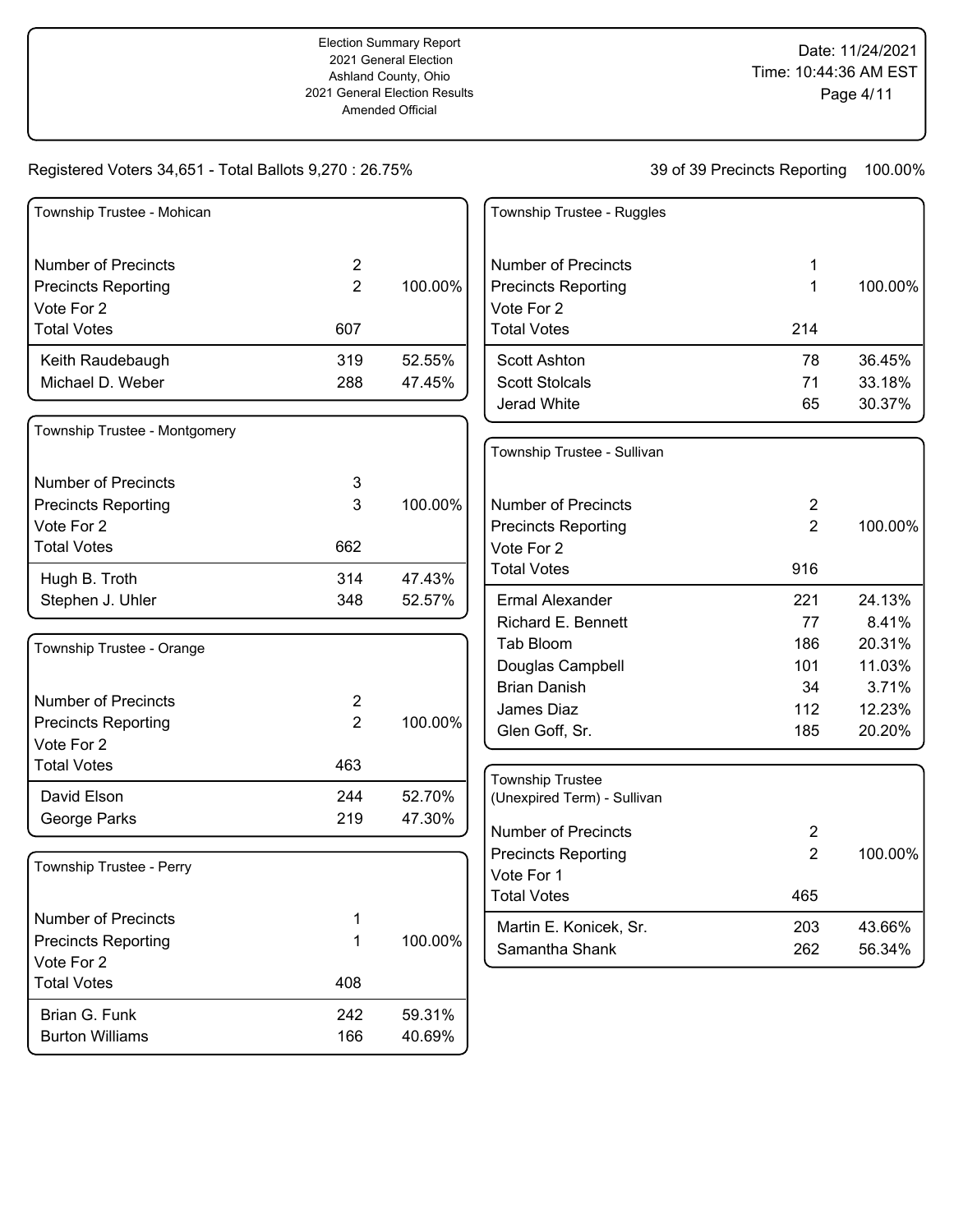| Township Trustee - Mohican       |                |         | Township Trustee - Ruggles  |                |         |
|----------------------------------|----------------|---------|-----------------------------|----------------|---------|
| <b>Number of Precincts</b>       | $\overline{2}$ |         | <b>Number of Precincts</b>  | 1              |         |
| <b>Precincts Reporting</b>       | $\overline{2}$ | 100.00% | <b>Precincts Reporting</b>  | 1              | 100.00% |
| Vote For 2                       |                |         | Vote For 2                  |                |         |
| <b>Total Votes</b>               | 607            |         | <b>Total Votes</b>          | 214            |         |
| Keith Raudebaugh                 | 319            | 52.55%  | <b>Scott Ashton</b>         | 78             | 36.45%  |
| Michael D. Weber                 | 288            | 47.45%  | <b>Scott Stolcals</b>       | 71             | 33.18%  |
|                                  |                |         | Jerad White                 | 65             | 30.37%  |
| Township Trustee - Montgomery    |                |         |                             |                |         |
|                                  |                |         | Township Trustee - Sullivan |                |         |
| <b>Number of Precincts</b>       | 3              |         |                             |                |         |
| <b>Precincts Reporting</b>       | 3              | 100.00% | <b>Number of Precincts</b>  | $\overline{2}$ |         |
| Vote For 2                       |                |         | <b>Precincts Reporting</b>  | $\overline{2}$ | 100.00% |
| <b>Total Votes</b>               | 662            |         | Vote For 2                  |                |         |
| Hugh B. Troth                    | 314            | 47.43%  | <b>Total Votes</b>          | 916            |         |
| Stephen J. Uhler                 | 348            | 52.57%  | <b>Ermal Alexander</b>      | 221            | 24.13%  |
|                                  |                |         | Richard E. Bennett          | 77             | 8.41%   |
| Township Trustee - Orange        |                |         | Tab Bloom                   | 186            | 20.31%  |
|                                  |                |         | Douglas Campbell            | 101            | 11.03%  |
|                                  |                |         | <b>Brian Danish</b>         | 34             | 3.71%   |
| <b>Number of Precincts</b>       | $\overline{2}$ |         | James Diaz                  | 112            | 12.23%  |
| <b>Precincts Reporting</b>       | $\overline{2}$ | 100.00% | Glen Goff, Sr.              | 185            | 20.20%  |
| Vote For 2<br><b>Total Votes</b> | 463            |         |                             |                |         |
|                                  |                |         | <b>Township Trustee</b>     |                |         |
| David Elson                      | 244            | 52.70%  | (Unexpired Term) - Sullivan |                |         |
| George Parks                     | 219            | 47.30%  | <b>Number of Precincts</b>  | 2              |         |
|                                  |                |         | <b>Precincts Reporting</b>  | $\overline{2}$ | 100.00% |
| Township Trustee - Perry         |                |         | Vote For 1                  |                |         |
|                                  |                |         | Total Votes                 | 465            |         |
| <b>Number of Precincts</b>       | 1              |         | Martin E. Konicek, Sr.      | 203            | 43.66%  |
| <b>Precincts Reporting</b>       | 1              | 100.00% | Samantha Shank              | 262            | 56.34%  |
| Vote For 2                       |                |         |                             |                |         |
| <b>Total Votes</b>               | 408            |         |                             |                |         |
| Brian G. Funk                    | 242            | 59.31%  |                             |                |         |
| <b>Burton Williams</b>           | 166            | 40.69%  |                             |                |         |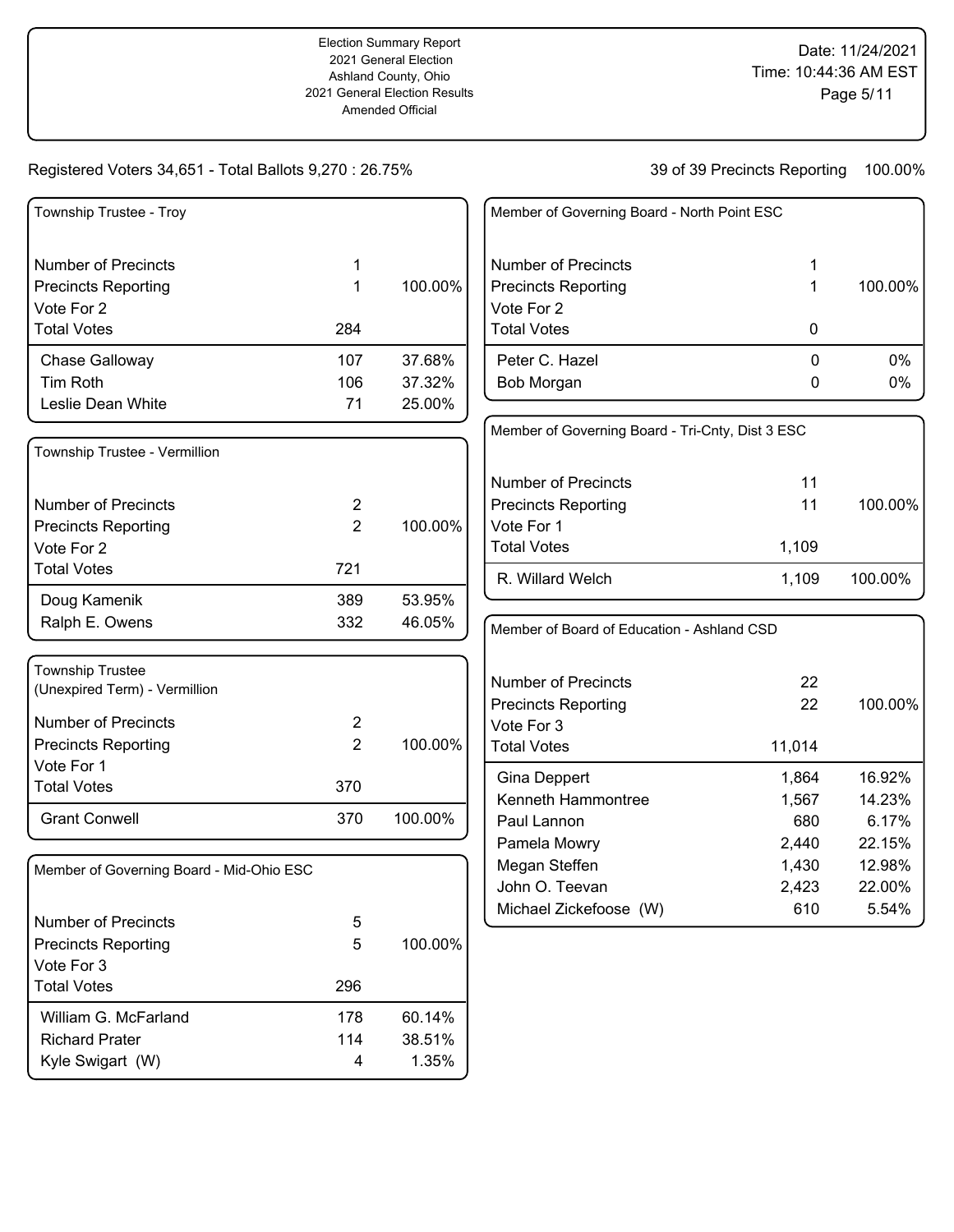| Township Trustee - Troy                  |                |         | Member of Governing Board - North Point ESC      |        |         |
|------------------------------------------|----------------|---------|--------------------------------------------------|--------|---------|
| <b>Number of Precincts</b>               | 1              |         | <b>Number of Precincts</b>                       | 1      |         |
| <b>Precincts Reporting</b>               | 1              | 100.00% | <b>Precincts Reporting</b>                       | 1      | 100.00% |
| Vote For 2                               |                |         | Vote For 2                                       |        |         |
| <b>Total Votes</b>                       | 284            |         | <b>Total Votes</b>                               | 0      |         |
| Chase Galloway                           | 107            | 37.68%  | Peter C. Hazel                                   | 0      | $0\%$   |
| <b>Tim Roth</b>                          | 106            | 37.32%  | Bob Morgan                                       | 0      | 0%      |
| Leslie Dean White                        | 71             | 25.00%  |                                                  |        |         |
| Township Trustee - Vermillion            |                |         | Member of Governing Board - Tri-Cnty, Dist 3 ESC |        |         |
|                                          |                |         | <b>Number of Precincts</b>                       | 11     |         |
| <b>Number of Precincts</b>               | $\overline{c}$ |         | <b>Precincts Reporting</b>                       | 11     | 100.00% |
| <b>Precincts Reporting</b>               | $\overline{2}$ | 100.00% | Vote For 1                                       |        |         |
| Vote For 2                               |                |         | <b>Total Votes</b>                               | 1,109  |         |
| <b>Total Votes</b>                       | 721            |         | R. Willard Welch                                 | 1,109  | 100.00% |
| Doug Kamenik                             | 389            | 53.95%  |                                                  |        |         |
| Ralph E. Owens                           | 332            | 46.05%  | Member of Board of Education - Ashland CSD       |        |         |
| <b>Township Trustee</b>                  |                |         |                                                  |        |         |
| (Unexpired Term) - Vermillion            |                |         | <b>Number of Precincts</b>                       | 22     |         |
| <b>Number of Precincts</b>               | $\overline{2}$ |         | <b>Precincts Reporting</b>                       | 22     | 100.00% |
| <b>Precincts Reporting</b>               | $\overline{2}$ | 100.00% | Vote For 3<br><b>Total Votes</b>                 | 11,014 |         |
| Vote For 1                               |                |         |                                                  |        |         |
| <b>Total Votes</b>                       | 370            |         | Gina Deppert                                     | 1,864  | 16.92%  |
|                                          |                |         | Kenneth Hammontree                               | 1,567  | 14.23%  |
| <b>Grant Conwell</b>                     | 370            | 100.00% | Paul Lannon                                      | 680    | 6.17%   |
|                                          |                |         | Pamela Mowry                                     | 2,440  | 22.15%  |
| Member of Governing Board - Mid-Ohio ESC |                |         | Megan Steffen                                    | 1,430  | 12.98%  |
|                                          |                |         | John O. Teevan                                   | 2,423  | 22.00%  |
| <b>Number of Precincts</b>               | 5              |         | Michael Zickefoose (W)                           | 610    | 5.54%   |
| <b>Precincts Reporting</b>               | 5              | 100.00% |                                                  |        |         |
| Vote For 3                               |                |         |                                                  |        |         |
| <b>Total Votes</b>                       | 296            |         |                                                  |        |         |
| William G. McFarland                     | 178            | 60.14%  |                                                  |        |         |
| <b>Richard Prater</b>                    | 114            | 38.51%  |                                                  |        |         |
| Kyle Swigart (W)                         | 4              | 1.35%   |                                                  |        |         |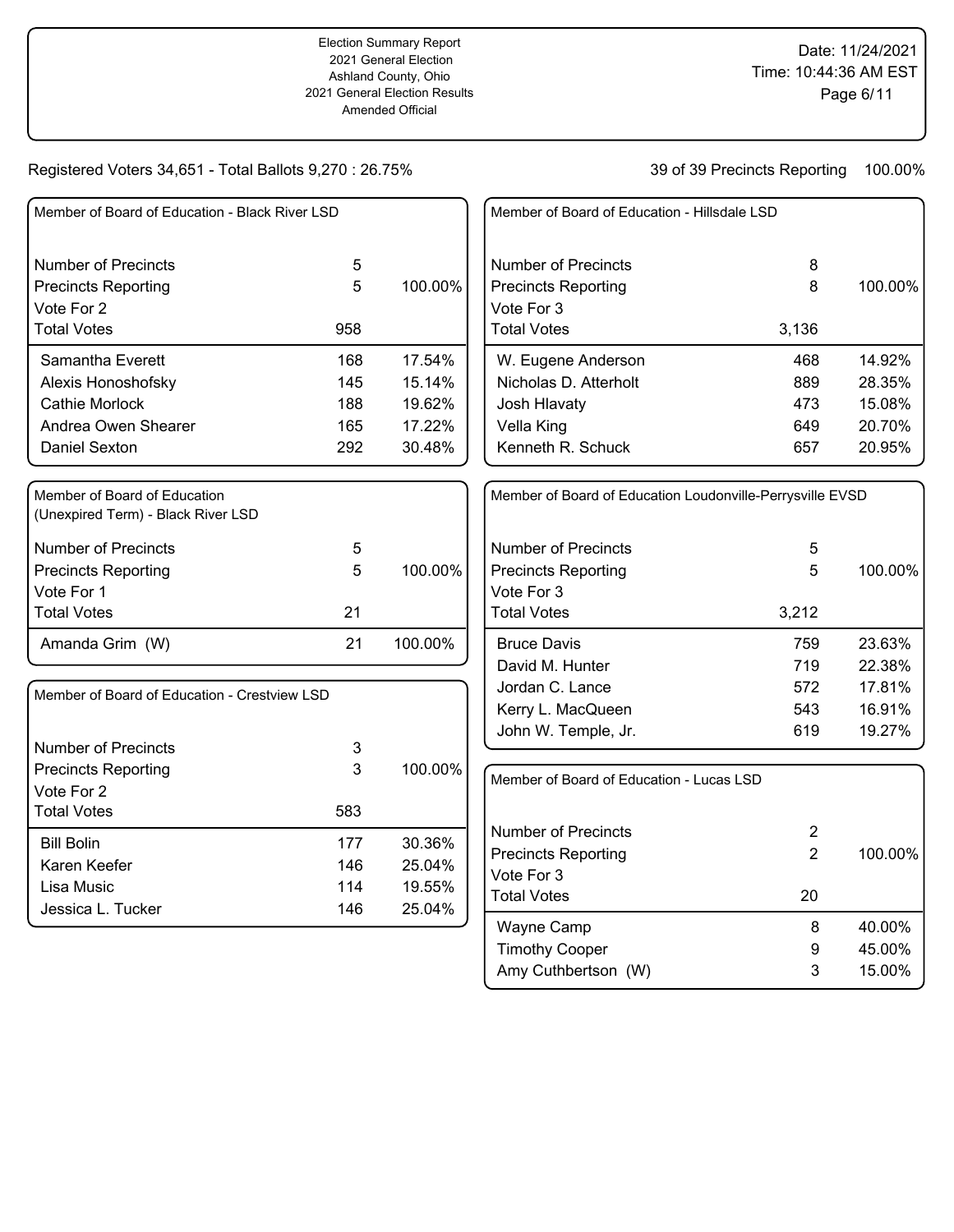| Member of Board of Education - Black River LSD                     |        |         | Member of Board of Education - Hillsdale LSD              |                |         |
|--------------------------------------------------------------------|--------|---------|-----------------------------------------------------------|----------------|---------|
| <b>Number of Precincts</b><br><b>Precincts Reporting</b>           | 5<br>5 | 100.00% | <b>Number of Precincts</b><br><b>Precincts Reporting</b>  | 8<br>8         | 100.00% |
| Vote For 2                                                         |        |         | Vote For 3                                                |                |         |
| <b>Total Votes</b>                                                 | 958    |         | <b>Total Votes</b>                                        | 3,136          |         |
| Samantha Everett                                                   | 168    | 17.54%  | W. Eugene Anderson                                        | 468            | 14.92%  |
| Alexis Honoshofsky                                                 | 145    | 15.14%  | Nicholas D. Atterholt                                     | 889            | 28.35%  |
| <b>Cathie Morlock</b>                                              | 188    | 19.62%  | Josh Hlavaty                                              | 473            | 15.08%  |
| Andrea Owen Shearer                                                | 165    | 17.22%  | Vella King                                                | 649            | 20.70%  |
| Daniel Sexton                                                      | 292    | 30.48%  | Kenneth R. Schuck                                         | 657            | 20.95%  |
| Member of Board of Education<br>(Unexpired Term) - Black River LSD |        |         | Member of Board of Education Loudonville-Perrysville EVSD |                |         |
| <b>Number of Precincts</b>                                         | 5      |         | <b>Number of Precincts</b>                                | 5              |         |
| <b>Precincts Reporting</b>                                         | 5      | 100.00% | <b>Precincts Reporting</b>                                | 5              | 100.00% |
| Vote For 1                                                         |        |         | Vote For 3                                                |                |         |
| <b>Total Votes</b>                                                 | 21     |         | <b>Total Votes</b>                                        | 3,212          |         |
| Amanda Grim (W)                                                    | 21     | 100.00% | <b>Bruce Davis</b>                                        | 759            | 23.63%  |
|                                                                    |        |         | David M. Hunter                                           | 719            | 22.38%  |
| Member of Board of Education - Crestview LSD                       |        |         | Jordan C. Lance                                           | 572            | 17.81%  |
|                                                                    |        |         | Kerry L. MacQueen                                         | 543            | 16.91%  |
| <b>Number of Precincts</b>                                         | 3      |         | John W. Temple, Jr.                                       | 619            | 19.27%  |
| <b>Precincts Reporting</b>                                         | 3      | 100.00% |                                                           |                |         |
| Vote For 2                                                         |        |         | Member of Board of Education - Lucas LSD                  |                |         |
| <b>Total Votes</b>                                                 | 583    |         |                                                           |                |         |
| <b>Bill Bolin</b>                                                  | 177    | 30.36%  | <b>Number of Precincts</b>                                | $\overline{2}$ |         |
| Karen Keefer                                                       | 146    | 25.04%  | <b>Precincts Reporting</b>                                | $\overline{2}$ | 100.00% |
| Lisa Music                                                         | 114    | 19.55%  | Vote For 3                                                |                |         |
| Jessica L. Tucker                                                  | 146    | 25.04%  | <b>Total Votes</b>                                        | 20             |         |
|                                                                    |        |         | Wayne Camp                                                | 8              | 40.00%  |
|                                                                    |        |         | <b>Timothy Cooper</b>                                     | 9              | 45.00%  |
|                                                                    |        |         | Amy Cuthbertson (W)                                       | 3              | 15.00%  |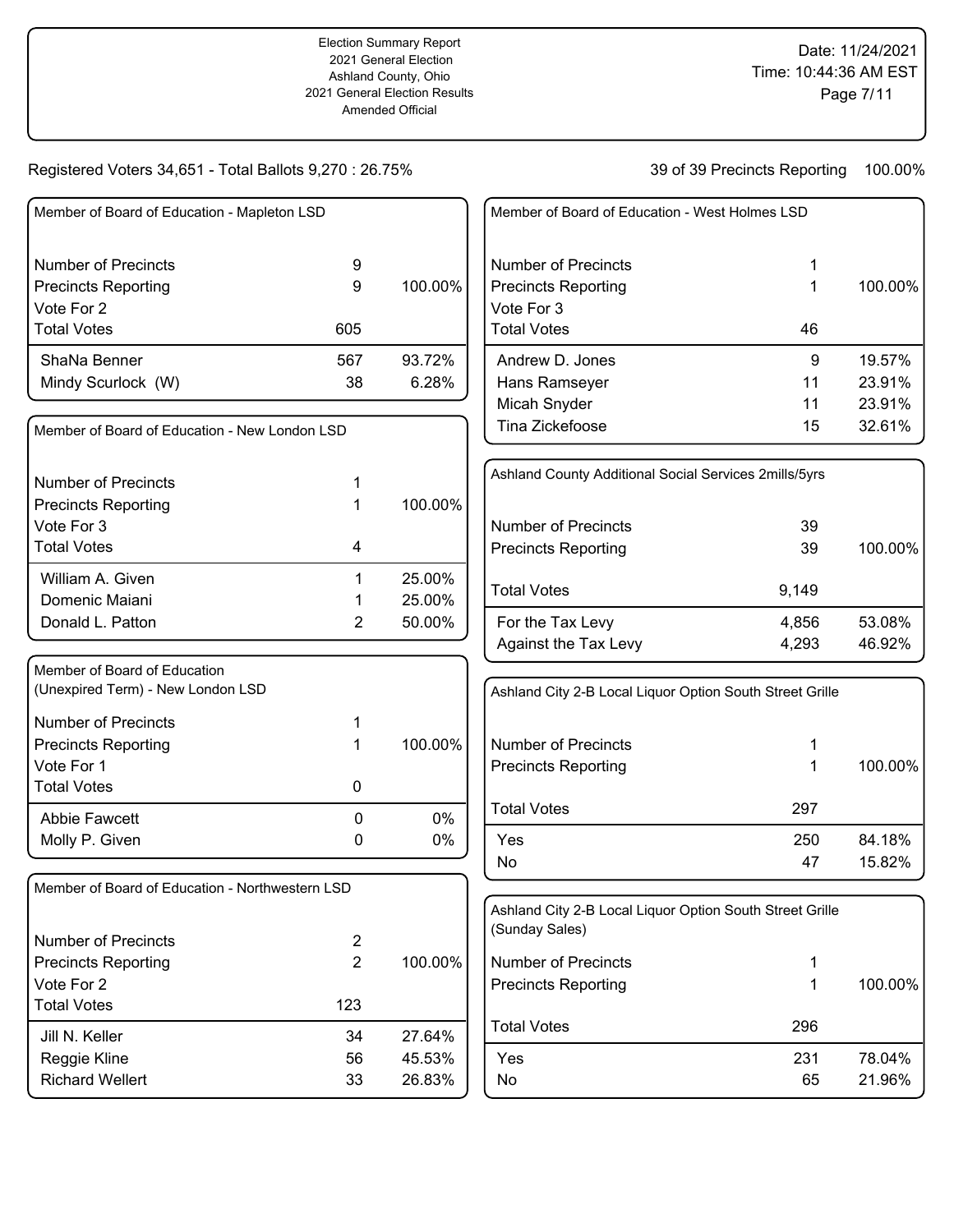| Member of Board of Education - Mapleton LSD     |                |         | Member of Board of Education - West Holmes LSD           |       |         |
|-------------------------------------------------|----------------|---------|----------------------------------------------------------|-------|---------|
| <b>Number of Precincts</b>                      | 9              |         | <b>Number of Precincts</b>                               |       |         |
| <b>Precincts Reporting</b>                      | 9              | 100.00% | <b>Precincts Reporting</b>                               | 1     | 100.00% |
| Vote For 2                                      |                |         | Vote For 3                                               |       |         |
| <b>Total Votes</b>                              | 605            |         | <b>Total Votes</b>                                       | 46    |         |
| ShaNa Benner                                    | 567            | 93.72%  | Andrew D. Jones                                          | 9     | 19.57%  |
| Mindy Scurlock (W)                              | 38             | 6.28%   | Hans Ramseyer                                            | 11    | 23.91%  |
|                                                 |                |         | Micah Snyder                                             | 11    | 23.91%  |
| Member of Board of Education - New London LSD   |                |         | Tina Zickefoose                                          | 15    | 32.61%  |
| <b>Number of Precincts</b>                      |                |         | Ashland County Additional Social Services 2mills/5yrs    |       |         |
| <b>Precincts Reporting</b>                      | 1              | 100.00% |                                                          |       |         |
| Vote For 3                                      |                |         | <b>Number of Precincts</b>                               | 39    |         |
| <b>Total Votes</b>                              | 4              |         | <b>Precincts Reporting</b>                               | 39    | 100.00% |
| William A. Given                                | 1              | 25.00%  | <b>Total Votes</b>                                       |       |         |
| Domenic Maiani                                  |                | 25.00%  |                                                          | 9,149 |         |
| Donald L. Patton                                | 2              | 50.00%  | For the Tax Levy                                         | 4,856 | 53.08%  |
|                                                 |                |         | Against the Tax Levy                                     | 4,293 | 46.92%  |
| Member of Board of Education                    |                |         |                                                          |       |         |
| (Unexpired Term) - New London LSD               |                |         | Ashland City 2-B Local Liquor Option South Street Grille |       |         |
| <b>Number of Precincts</b>                      |                |         |                                                          |       |         |
| <b>Precincts Reporting</b>                      | 1              | 100.00% | <b>Number of Precincts</b>                               |       |         |
| Vote For 1                                      |                |         | <b>Precincts Reporting</b>                               | 1     | 100.00% |
| <b>Total Votes</b>                              | 0              |         |                                                          |       |         |
| Abbie Fawcett                                   | 0              | 0%      | <b>Total Votes</b>                                       | 297   |         |
| Molly P. Given                                  | 0              | 0%      | Yes                                                      | 250   | 84.18%  |
|                                                 |                |         | No                                                       | 47    | 15.82%  |
| Member of Board of Education - Northwestern LSD |                |         |                                                          |       |         |
|                                                 |                |         | Ashland City 2-B Local Liquor Option South Street Grille |       |         |
| <b>Number of Precincts</b>                      | $\overline{c}$ |         | (Sunday Sales)                                           |       |         |
| <b>Precincts Reporting</b>                      | $\overline{2}$ | 100.00% | <b>Number of Precincts</b>                               | 1     |         |
| Vote For 2                                      |                |         | <b>Precincts Reporting</b>                               | 1     | 100.00% |
| <b>Total Votes</b>                              | 123            |         |                                                          |       |         |
| Jill N. Keller                                  | 34             | 27.64%  | <b>Total Votes</b>                                       | 296   |         |
| Reggie Kline                                    | 56             | 45.53%  | Yes                                                      | 231   | 78.04%  |
| <b>Richard Wellert</b>                          | 33             | 26.83%  | No                                                       | 65    | 21.96%  |
|                                                 |                |         |                                                          |       |         |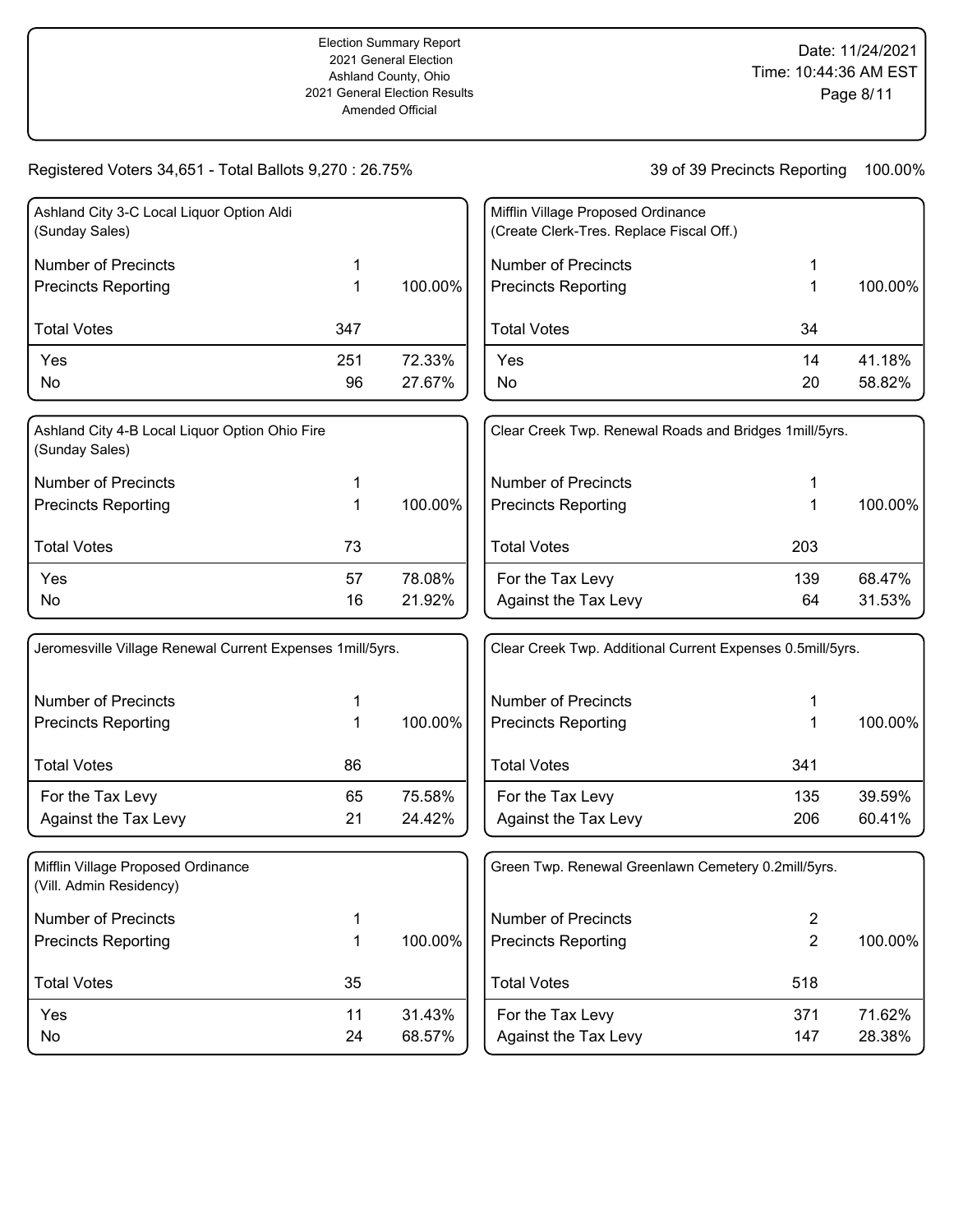| Ashland City 3-C Local Liquor Option Aldi<br>(Sunday Sales) |     |         |
|-------------------------------------------------------------|-----|---------|
| <b>Number of Precincts</b>                                  | 1   |         |
| <b>Precincts Reporting</b>                                  |     | 100.00% |
| <b>Total Votes</b>                                          | 347 |         |
| Yes                                                         | 251 | 72.33%  |
| No                                                          | 96  | 27.67%  |
| Ashland City A-B Local Liquor Option Objo Fire              |     |         |

| Ashland City 4-B Local Liquor Option Ohio Fire<br>(Sunday Sales) |    |         |
|------------------------------------------------------------------|----|---------|
| Number of Precincts                                              | 1  |         |
| <b>Precincts Reporting</b>                                       | 1  | 100.00% |
| <b>Total Votes</b>                                               | 73 |         |
| Yes                                                              | 57 | 78.08%  |
| No                                                               | 16 | 21.92%  |

| Jeromesville Village Renewal Current Expenses 1 mill/5 yrs. |    |         |
|-------------------------------------------------------------|----|---------|
| Number of Precincts                                         | 1  |         |
| <b>Precincts Reporting</b>                                  | 1  | 100.00% |
| <b>Total Votes</b>                                          | 86 |         |
| For the Tax Levy                                            | 65 | 75.58%  |
| <b>Against the Tax Levy</b>                                 | 21 | 24.42%  |
|                                                             |    |         |

| Mifflin Village Proposed Ordinance<br>(Vill. Admin Residency) |    |         |
|---------------------------------------------------------------|----|---------|
| Number of Precincts                                           | 1  |         |
| <b>Precincts Reporting</b>                                    | 1  | 100.00% |
| <b>Total Votes</b>                                            | 35 |         |
| Yes                                                           | 11 | 31.43%  |
| No                                                            | 24 | 68.57%  |
|                                                               |    |         |

| Mifflin Village Proposed Ordinance<br>(Create Clerk-Tres. Replace Fiscal Off.) |          |                  |
|--------------------------------------------------------------------------------|----------|------------------|
| Number of Precincts<br><b>Precincts Reporting</b>                              | 1<br>1   | 100.00%          |
| <b>Total Votes</b>                                                             | 34       |                  |
| Yes<br>N٥                                                                      | 14<br>20 | 41.18%<br>58.82% |

| Clear Creek Twp. Renewal Roads and Bridges 1 mill/5 yrs. |           |                  |
|----------------------------------------------------------|-----------|------------------|
| Number of Precincts<br>Precincts Reporting               | 1<br>1    | 100.00%          |
| <b>Total Votes</b>                                       | 203       |                  |
| For the Tax Levy<br>Against the Tax Levy                 | 139<br>64 | 68.47%<br>31.53% |

| Clear Creek Twp. Additional Current Expenses 0.5mill/5yrs. |            |                  |
|------------------------------------------------------------|------------|------------------|
| Number of Precincts<br>Precincts Reporting                 | 1<br>1     | 100.00%          |
| <b>Total Votes</b>                                         | 341        |                  |
| For the Tax Levy<br>Against the Tax Levy                   | 135<br>206 | 39.59%<br>60.41% |

| Green Twp. Renewal Greenlawn Cemetery 0.2mill/5yrs. |            |                  |
|-----------------------------------------------------|------------|------------------|
| Number of Precincts<br><b>Precincts Reporting</b>   | 2<br>2     | 100.00%          |
| <b>Total Votes</b>                                  | 518        |                  |
| For the Tax Levy<br>Against the Tax Levy            | 371<br>147 | 71.62%<br>28.38% |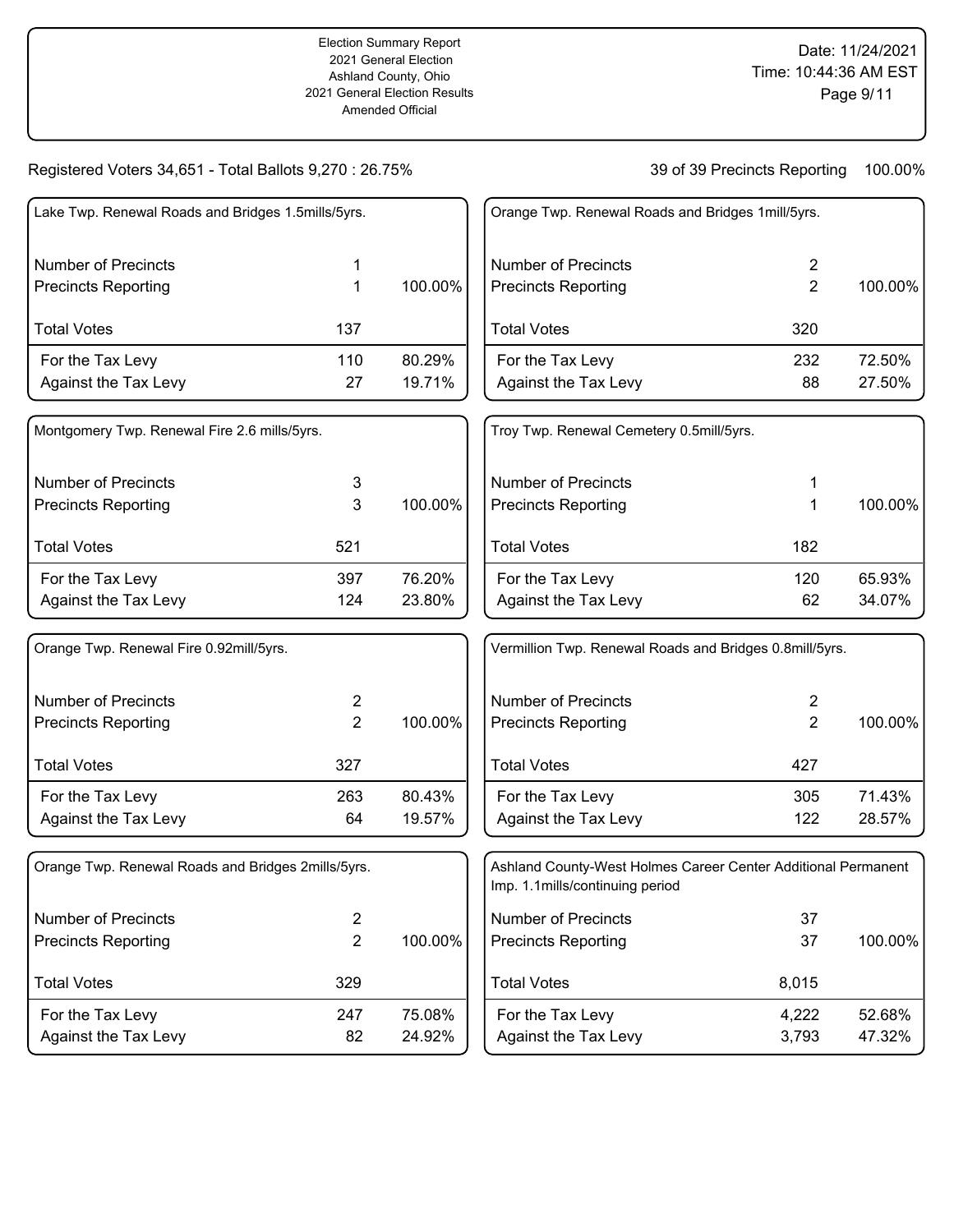| Lake Twp. Renewal Roads and Bridges 1.5mills/5yrs. |     |         |
|----------------------------------------------------|-----|---------|
| Number of Precincts                                |     |         |
| <b>Precincts Reporting</b>                         |     | 100.00% |
| <b>Total Votes</b>                                 | 137 |         |
| For the Tax Levy                                   | 110 | 80.29%  |
| Against the Tax Levy                               | 27  | 19.71%  |
| Montgomery Twp. Renewal Fire 2.6 mills/5yrs.       |     |         |
| Number of Precincts                                | 3   |         |
| <b>Precincts Reporting</b>                         |     | 100.00% |

| <b>Total Votes</b>   | 521 |        |
|----------------------|-----|--------|
| For the Tax Levy     | 397 | 76.20% |
| Against the Tax Levy | 124 | 23.80% |

| Orange Twp. Renewal Fire 0.92mill/5yrs. |     |         |
|-----------------------------------------|-----|---------|
| Number of Precincts                     | 2   |         |
| <b>Precincts Reporting</b>              | 2   | 100.00% |
| <b>Total Votes</b>                      | 327 |         |
| For the Tax Levy                        | 263 | 80.43%  |
| Against the Tax Levy                    | 64  | 19.57%  |

| Orange Twp. Renewal Roads and Bridges 2mills/5yrs. |     |         |
|----------------------------------------------------|-----|---------|
| Number of Precincts                                | 2   |         |
| <b>Precincts Reporting</b>                         | 2   | 100.00% |
| <b>Total Votes</b>                                 | 329 |         |
| For the Tax Levy                                   | 247 | 75.08%  |
| Against the Tax Levy                               | 82  | 24.92%  |

| Orange Twp. Renewal Roads and Bridges 1 mill/5 yrs. |           |                  |
|-----------------------------------------------------|-----------|------------------|
| Number of Precincts<br><b>Precincts Reporting</b>   | 2<br>2    | 100.00%          |
| <b>Total Votes</b>                                  | 320       |                  |
| For the Tax Levy<br>Against the Tax Levy            | 232<br>88 | 72.50%<br>27.50% |

| Troy Twp. Renewal Cemetery 0.5mill/5yrs. |     |         |
|------------------------------------------|-----|---------|
| Number of Precincts                      | 1   |         |
| <b>Precincts Reporting</b>               | 1   | 100.00% |
| <b>Total Votes</b>                       | 182 |         |
| For the Tax Levy                         | 120 | 65.93%  |
| Against the Tax Levy                     | 62  | 34.07%  |

| Vermillion Twp. Renewal Roads and Bridges 0.8 mill/5 yrs. |            |                  |  |
|-----------------------------------------------------------|------------|------------------|--|
| Number of Precincts<br><b>Precincts Reporting</b>         | 2<br>2     | 100.00%          |  |
| <b>Total Votes</b>                                        | 427        |                  |  |
| For the Tax Levy<br>Against the Tax Levy                  | 305<br>122 | 71.43%<br>28.57% |  |

| Ashland County-West Holmes Career Center Additional Permanent<br>Imp. 1.1 mills/continuing period |                |                  |
|---------------------------------------------------------------------------------------------------|----------------|------------------|
| Number of Precincts<br><b>Precincts Reporting</b>                                                 | 37<br>37       | 100.00%          |
| <b>Total Votes</b>                                                                                | 8,015          |                  |
| For the Tax Levy<br>Against the Tax Levy                                                          | 4,222<br>3,793 | 52.68%<br>47.32% |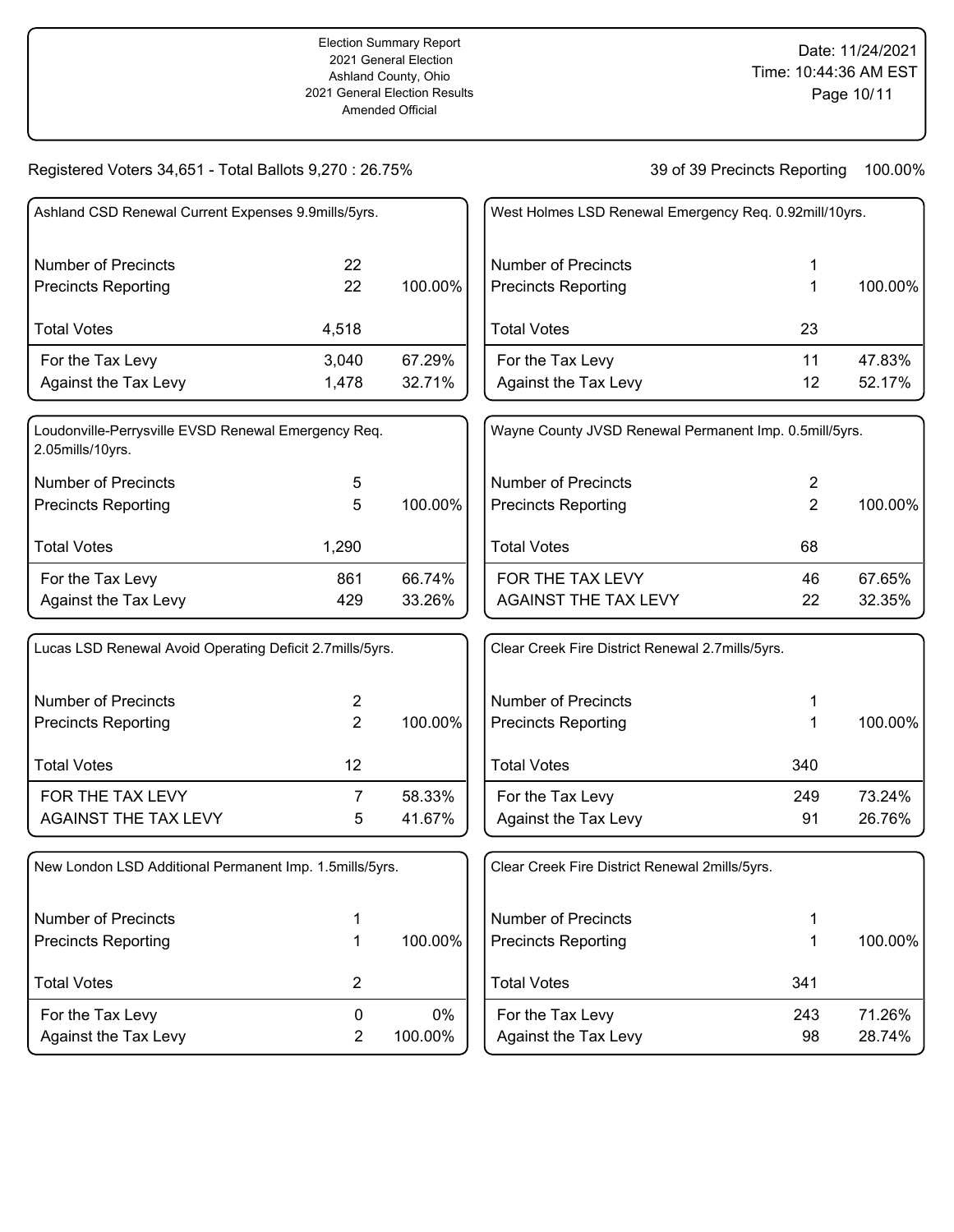| Ashland CSD Renewal Current Expenses 9.9mills/5yrs.                     |                |         | West Holmes LSD Renewal Emergency Req. 0.92mill/10yrs. |                |         |
|-------------------------------------------------------------------------|----------------|---------|--------------------------------------------------------|----------------|---------|
| <b>Number of Precincts</b>                                              | 22             |         | <b>Number of Precincts</b>                             | 1              |         |
| <b>Precincts Reporting</b>                                              | 22             | 100.00% | <b>Precincts Reporting</b>                             | 1              | 100.00% |
| <b>Total Votes</b>                                                      | 4,518          |         | <b>Total Votes</b>                                     | 23             |         |
| For the Tax Levy                                                        | 3,040          | 67.29%  | For the Tax Levy                                       | 11             | 47.83%  |
| Against the Tax Levy                                                    | 1,478          | 32.71%  | Against the Tax Levy                                   | 12             | 52.17%  |
| Loudonville-Perrysville EVSD Renewal Emergency Req.<br>2.05mills/10yrs. |                |         | Wayne County JVSD Renewal Permanent Imp. 0.5mill/5yrs. |                |         |
| <b>Number of Precincts</b>                                              | 5              |         | <b>Number of Precincts</b>                             | $\overline{2}$ |         |
| <b>Precincts Reporting</b>                                              | 5              | 100.00% | <b>Precincts Reporting</b>                             | $\overline{2}$ | 100.00% |
| <b>Total Votes</b>                                                      | 1,290          |         | <b>Total Votes</b>                                     | 68             |         |
| For the Tax Levy                                                        | 861            | 66.74%  | FOR THE TAX LEVY                                       | 46             | 67.65%  |
| Against the Tax Levy                                                    | 429            | 33.26%  | <b>AGAINST THE TAX LEVY</b>                            | 22             | 32.35%  |
| Lucas LSD Renewal Avoid Operating Deficit 2.7mills/5yrs.                |                |         | Clear Creek Fire District Renewal 2.7mills/5yrs.       |                |         |
| <b>Number of Precincts</b>                                              | 2              |         | <b>Number of Precincts</b>                             | 1              |         |
| <b>Precincts Reporting</b>                                              | $\overline{2}$ | 100.00% | <b>Precincts Reporting</b>                             | 1              | 100.00% |
| <b>Total Votes</b>                                                      | 12             |         | <b>Total Votes</b>                                     | 340            |         |
| FOR THE TAX LEVY                                                        | $\overline{7}$ | 58.33%  | For the Tax Levy                                       | 249            | 73.24%  |
| <b>AGAINST THE TAX LEVY</b>                                             | 5              | 41.67%  | Against the Tax Levy                                   | 91             | 26.76%  |
| New London LSD Additional Permanent Imp. 1.5mills/5yrs.                 |                |         | Clear Creek Fire District Renewal 2mills/5yrs.         |                |         |
| <b>Number of Precincts</b>                                              | 1              |         | <b>Number of Precincts</b>                             | 1              |         |
| <b>Precincts Reporting</b>                                              | $\mathbf 1$    | 100.00% | <b>Precincts Reporting</b>                             | 1              | 100.00% |
| <b>Total Votes</b>                                                      | $\overline{2}$ |         | <b>Total Votes</b>                                     | 341            |         |
| For the Tax Levy                                                        | $\pmb{0}$      | 0%      | For the Tax Levy                                       | 243            | 71.26%  |
| Against the Tax Levy                                                    | $\overline{2}$ | 100.00% | Against the Tax Levy                                   | 98             | 28.74%  |